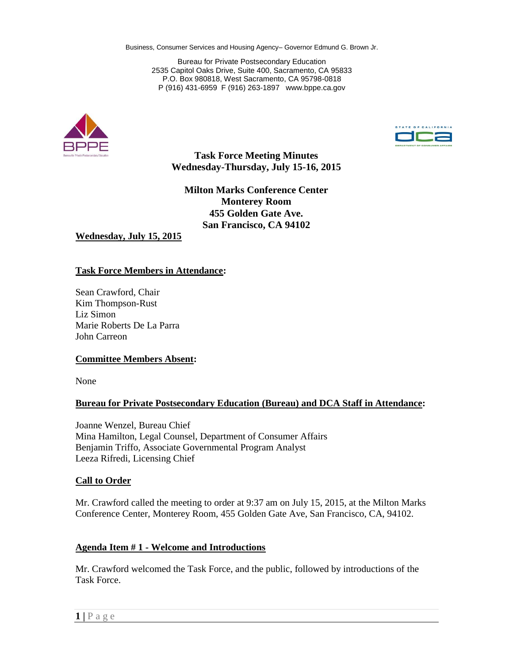Business, Consumer Services and Housing Agency– Governor Edmund G. Brown Jr.

Bureau for Private Postsecondary Education 2535 Capitol Oaks Drive, Suite 400, Sacramento, CA 95833 P.O. Box 980818, West Sacramento, CA 95798-0818 P (916) 431-6959 F (916) 263-1897 www.bppe.ca.gov





**Task Force Meeting Minutes Wednesday-Thursday, July 15-16, 2015**

**Milton Marks Conference Center Monterey Room 455 Golden Gate Ave. San Francisco, CA 94102**

**Wednesday, July 15, 2015**

### **Task Force Members in Attendance:**

Sean Crawford, Chair Kim Thompson-Rust Liz Simon Marie Roberts De La Parra John Carreon

### **Committee Members Absent:**

None

# **Bureau for Private Postsecondary Education (Bureau) and DCA Staff in Attendance:**

Joanne Wenzel, Bureau Chief Mina Hamilton, Legal Counsel, Department of Consumer Affairs Benjamin Triffo, Associate Governmental Program Analyst Leeza Rifredi, Licensing Chief

### **Call to Order**

Mr. Crawford called the meeting to order at 9:37 am on July 15, 2015, at the Milton Marks Conference Center, Monterey Room, 455 Golden Gate Ave, San Francisco, CA, 94102.

### **Agenda Item # 1 - Welcome and Introductions**

Mr. Crawford welcomed the Task Force, and the public, followed by introductions of the Task Force.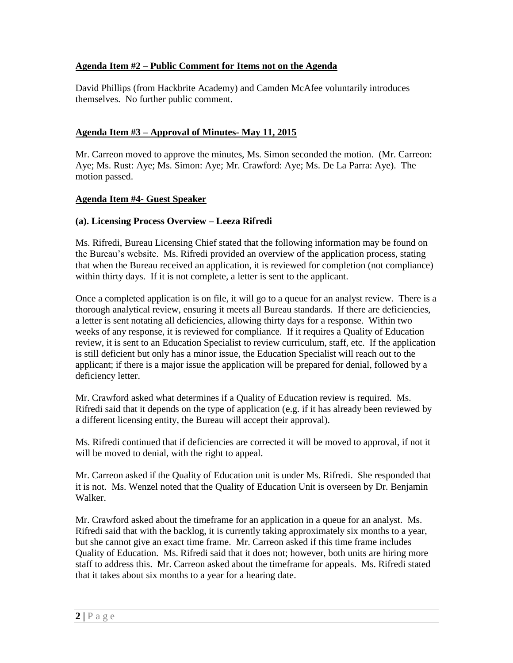# **Agenda Item #2 – Public Comment for Items not on the Agenda**

David Phillips (from Hackbrite Academy) and Camden McAfee voluntarily introduces themselves. No further public comment.

## **Agenda Item #3 – Approval of Minutes- May 11, 2015**

Mr. Carreon moved to approve the minutes, Ms. Simon seconded the motion. (Mr. Carreon: Aye; Ms. Rust: Aye; Ms. Simon: Aye; Mr. Crawford: Aye; Ms. De La Parra: Aye). The motion passed.

## **Agenda Item #4- Guest Speaker**

## **(a). Licensing Process Overview – Leeza Rifredi**

Ms. Rifredi, Bureau Licensing Chief stated that the following information may be found on the Bureau's website. Ms. Rifredi provided an overview of the application process, stating that when the Bureau received an application, it is reviewed for completion (not compliance) within thirty days. If it is not complete, a letter is sent to the applicant.

Once a completed application is on file, it will go to a queue for an analyst review. There is a thorough analytical review, ensuring it meets all Bureau standards. If there are deficiencies, a letter is sent notating all deficiencies, allowing thirty days for a response. Within two weeks of any response, it is reviewed for compliance. If it requires a Quality of Education review, it is sent to an Education Specialist to review curriculum, staff, etc. If the application is still deficient but only has a minor issue, the Education Specialist will reach out to the applicant; if there is a major issue the application will be prepared for denial, followed by a deficiency letter.

Mr. Crawford asked what determines if a Quality of Education review is required. Ms. Rifredi said that it depends on the type of application (e.g. if it has already been reviewed by a different licensing entity, the Bureau will accept their approval).

Ms. Rifredi continued that if deficiencies are corrected it will be moved to approval, if not it will be moved to denial, with the right to appeal.

Mr. Carreon asked if the Quality of Education unit is under Ms. Rifredi. She responded that it is not. Ms. Wenzel noted that the Quality of Education Unit is overseen by Dr. Benjamin Walker.

Mr. Crawford asked about the timeframe for an application in a queue for an analyst. Ms. Rifredi said that with the backlog, it is currently taking approximately six months to a year, but she cannot give an exact time frame. Mr. Carreon asked if this time frame includes Quality of Education. Ms. Rifredi said that it does not; however, both units are hiring more staff to address this. Mr. Carreon asked about the timeframe for appeals. Ms. Rifredi stated that it takes about six months to a year for a hearing date.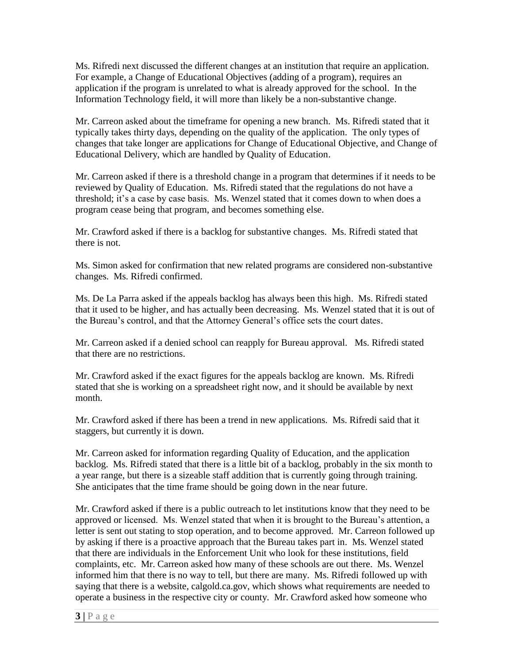Ms. Rifredi next discussed the different changes at an institution that require an application. For example, a Change of Educational Objectives (adding of a program), requires an application if the program is unrelated to what is already approved for the school. In the Information Technology field, it will more than likely be a non-substantive change.

Mr. Carreon asked about the timeframe for opening a new branch. Ms. Rifredi stated that it typically takes thirty days, depending on the quality of the application. The only types of changes that take longer are applications for Change of Educational Objective, and Change of Educational Delivery, which are handled by Quality of Education.

Mr. Carreon asked if there is a threshold change in a program that determines if it needs to be reviewed by Quality of Education. Ms. Rifredi stated that the regulations do not have a threshold; it's a case by case basis. Ms. Wenzel stated that it comes down to when does a program cease being that program, and becomes something else.

Mr. Crawford asked if there is a backlog for substantive changes. Ms. Rifredi stated that there is not.

Ms. Simon asked for confirmation that new related programs are considered non-substantive changes. Ms. Rifredi confirmed.

Ms. De La Parra asked if the appeals backlog has always been this high. Ms. Rifredi stated that it used to be higher, and has actually been decreasing. Ms. Wenzel stated that it is out of the Bureau's control, and that the Attorney General's office sets the court dates.

Mr. Carreon asked if a denied school can reapply for Bureau approval. Ms. Rifredi stated that there are no restrictions.

Mr. Crawford asked if the exact figures for the appeals backlog are known. Ms. Rifredi stated that she is working on a spreadsheet right now, and it should be available by next month.

Mr. Crawford asked if there has been a trend in new applications. Ms. Rifredi said that it staggers, but currently it is down.

Mr. Carreon asked for information regarding Quality of Education, and the application backlog. Ms. Rifredi stated that there is a little bit of a backlog, probably in the six month to a year range, but there is a sizeable staff addition that is currently going through training. She anticipates that the time frame should be going down in the near future.

Mr. Crawford asked if there is a public outreach to let institutions know that they need to be approved or licensed. Ms. Wenzel stated that when it is brought to the Bureau's attention, a letter is sent out stating to stop operation, and to become approved. Mr. Carreon followed up by asking if there is a proactive approach that the Bureau takes part in. Ms. Wenzel stated that there are individuals in the Enforcement Unit who look for these institutions, field complaints, etc. Mr. Carreon asked how many of these schools are out there. Ms. Wenzel informed him that there is no way to tell, but there are many. Ms. Rifredi followed up with saying that there is a website, calgold.ca.gov, which shows what requirements are needed to operate a business in the respective city or county. Mr. Crawford asked how someone who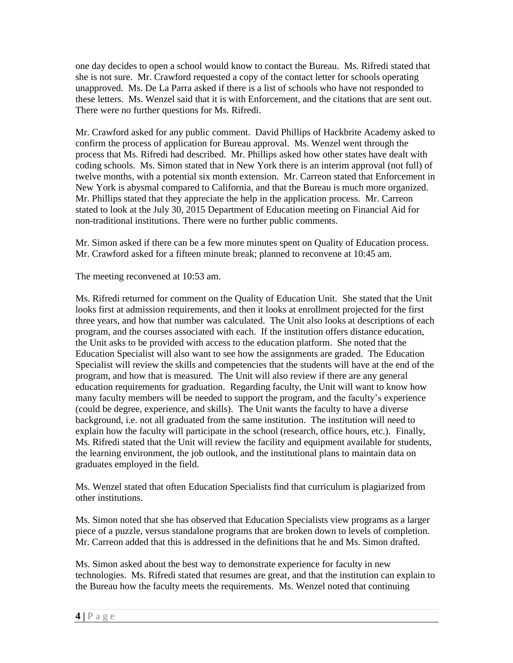one day decides to open a school would know to contact the Bureau. Ms. Rifredi stated that she is not sure. Mr. Crawford requested a copy of the contact letter for schools operating unapproved. Ms. De La Parra asked if there is a list of schools who have not responded to these letters. Ms. Wenzel said that it is with Enforcement, and the citations that are sent out. There were no further questions for Ms. Rifredi.

Mr. Crawford asked for any public comment. David Phillips of Hackbrite Academy asked to confirm the process of application for Bureau approval. Ms. Wenzel went through the process that Ms. Rifredi had described. Mr. Phillips asked how other states have dealt with coding schools. Ms. Simon stated that in New York there is an interim approval (not full) of twelve months, with a potential six month extension. Mr. Carreon stated that Enforcement in New York is abysmal compared to California, and that the Bureau is much more organized. Mr. Phillips stated that they appreciate the help in the application process. Mr. Carreon stated to look at the July 30, 2015 Department of Education meeting on Financial Aid for non-traditional institutions. There were no further public comments.

Mr. Simon asked if there can be a few more minutes spent on Quality of Education process. Mr. Crawford asked for a fifteen minute break; planned to reconvene at 10:45 am.

The meeting reconvened at 10:53 am.

Ms. Rifredi returned for comment on the Quality of Education Unit. She stated that the Unit looks first at admission requirements, and then it looks at enrollment projected for the first three years, and how that number was calculated. The Unit also looks at descriptions of each program, and the courses associated with each. If the institution offers distance education, the Unit asks to be provided with access to the education platform. She noted that the Education Specialist will also want to see how the assignments are graded. The Education Specialist will review the skills and competencies that the students will have at the end of the program, and how that is measured. The Unit will also review if there are any general education requirements for graduation. Regarding faculty, the Unit will want to know how many faculty members will be needed to support the program, and the faculty's experience (could be degree, experience, and skills). The Unit wants the faculty to have a diverse background, i.e. not all graduated from the same institution. The institution will need to explain how the faculty will participate in the school (research, office hours, etc.). Finally, Ms. Rifredi stated that the Unit will review the facility and equipment available for students, the learning environment, the job outlook, and the institutional plans to maintain data on graduates employed in the field.

Ms. Wenzel stated that often Education Specialists find that curriculum is plagiarized from other institutions.

Ms. Simon noted that she has observed that Education Specialists view programs as a larger piece of a puzzle, versus standalone programs that are broken down to levels of completion. Mr. Carreon added that this is addressed in the definitions that he and Ms. Simon drafted.

Ms. Simon asked about the best way to demonstrate experience for faculty in new technologies. Ms. Rifredi stated that resumes are great, and that the institution can explain to the Bureau how the faculty meets the requirements. Ms. Wenzel noted that continuing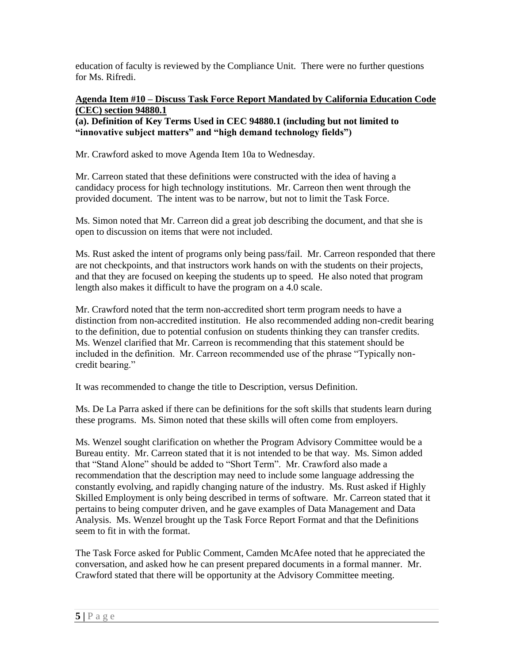education of faculty is reviewed by the Compliance Unit. There were no further questions for Ms. Rifredi.

## **Agenda Item #10 – Discuss Task Force Report Mandated by California Education Code (CEC) section 94880.1**

**(a). Definition of Key Terms Used in CEC 94880.1 (including but not limited to "innovative subject matters" and "high demand technology fields")**

Mr. Crawford asked to move Agenda Item 10a to Wednesday.

Mr. Carreon stated that these definitions were constructed with the idea of having a candidacy process for high technology institutions. Mr. Carreon then went through the provided document. The intent was to be narrow, but not to limit the Task Force.

Ms. Simon noted that Mr. Carreon did a great job describing the document, and that she is open to discussion on items that were not included.

Ms. Rust asked the intent of programs only being pass/fail. Mr. Carreon responded that there are not checkpoints, and that instructors work hands on with the students on their projects, and that they are focused on keeping the students up to speed. He also noted that program length also makes it difficult to have the program on a 4.0 scale.

Mr. Crawford noted that the term non-accredited short term program needs to have a distinction from non-accredited institution. He also recommended adding non-credit bearing to the definition, due to potential confusion on students thinking they can transfer credits. Ms. Wenzel clarified that Mr. Carreon is recommending that this statement should be included in the definition. Mr. Carreon recommended use of the phrase "Typically noncredit bearing."

It was recommended to change the title to Description, versus Definition.

Ms. De La Parra asked if there can be definitions for the soft skills that students learn during these programs. Ms. Simon noted that these skills will often come from employers.

Ms. Wenzel sought clarification on whether the Program Advisory Committee would be a Bureau entity. Mr. Carreon stated that it is not intended to be that way. Ms. Simon added that "Stand Alone" should be added to "Short Term". Mr. Crawford also made a recommendation that the description may need to include some language addressing the constantly evolving, and rapidly changing nature of the industry. Ms. Rust asked if Highly Skilled Employment is only being described in terms of software. Mr. Carreon stated that it pertains to being computer driven, and he gave examples of Data Management and Data Analysis. Ms. Wenzel brought up the Task Force Report Format and that the Definitions seem to fit in with the format.

The Task Force asked for Public Comment, Camden McAfee noted that he appreciated the conversation, and asked how he can present prepared documents in a formal manner. Mr. Crawford stated that there will be opportunity at the Advisory Committee meeting.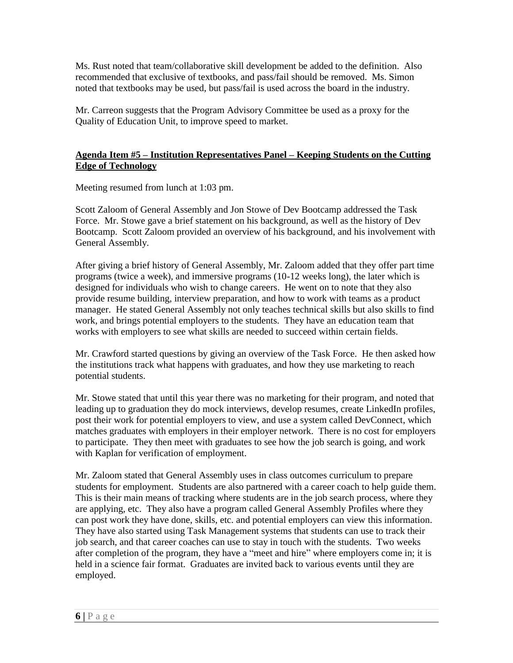Ms. Rust noted that team/collaborative skill development be added to the definition. Also recommended that exclusive of textbooks, and pass/fail should be removed. Ms. Simon noted that textbooks may be used, but pass/fail is used across the board in the industry.

Mr. Carreon suggests that the Program Advisory Committee be used as a proxy for the Quality of Education Unit, to improve speed to market.

# **Agenda Item #5 – Institution Representatives Panel – Keeping Students on the Cutting Edge of Technology**

Meeting resumed from lunch at 1:03 pm.

Scott Zaloom of General Assembly and Jon Stowe of Dev Bootcamp addressed the Task Force. Mr. Stowe gave a brief statement on his background, as well as the history of Dev Bootcamp. Scott Zaloom provided an overview of his background, and his involvement with General Assembly.

After giving a brief history of General Assembly, Mr. Zaloom added that they offer part time programs (twice a week), and immersive programs (10-12 weeks long), the later which is designed for individuals who wish to change careers. He went on to note that they also provide resume building, interview preparation, and how to work with teams as a product manager. He stated General Assembly not only teaches technical skills but also skills to find work, and brings potential employers to the students. They have an education team that works with employers to see what skills are needed to succeed within certain fields.

Mr. Crawford started questions by giving an overview of the Task Force. He then asked how the institutions track what happens with graduates, and how they use marketing to reach potential students.

Mr. Stowe stated that until this year there was no marketing for their program, and noted that leading up to graduation they do mock interviews, develop resumes, create LinkedIn profiles, post their work for potential employers to view, and use a system called DevConnect, which matches graduates with employers in their employer network. There is no cost for employers to participate. They then meet with graduates to see how the job search is going, and work with Kaplan for verification of employment.

Mr. Zaloom stated that General Assembly uses in class outcomes curriculum to prepare students for employment. Students are also partnered with a career coach to help guide them. This is their main means of tracking where students are in the job search process, where they are applying, etc. They also have a program called General Assembly Profiles where they can post work they have done, skills, etc. and potential employers can view this information. They have also started using Task Management systems that students can use to track their job search, and that career coaches can use to stay in touch with the students. Two weeks after completion of the program, they have a "meet and hire" where employers come in; it is held in a science fair format. Graduates are invited back to various events until they are employed.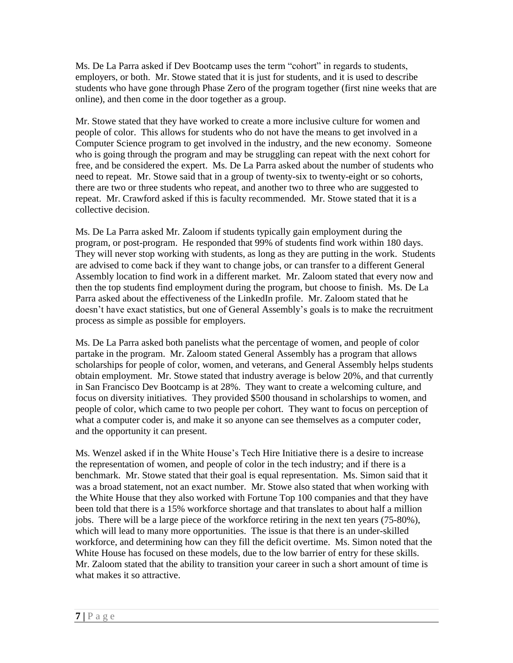Ms. De La Parra asked if Dev Bootcamp uses the term "cohort" in regards to students, employers, or both. Mr. Stowe stated that it is just for students, and it is used to describe students who have gone through Phase Zero of the program together (first nine weeks that are online), and then come in the door together as a group.

Mr. Stowe stated that they have worked to create a more inclusive culture for women and people of color. This allows for students who do not have the means to get involved in a Computer Science program to get involved in the industry, and the new economy. Someone who is going through the program and may be struggling can repeat with the next cohort for free, and be considered the expert. Ms. De La Parra asked about the number of students who need to repeat. Mr. Stowe said that in a group of twenty-six to twenty-eight or so cohorts, there are two or three students who repeat, and another two to three who are suggested to repeat. Mr. Crawford asked if this is faculty recommended. Mr. Stowe stated that it is a collective decision.

Ms. De La Parra asked Mr. Zaloom if students typically gain employment during the program, or post-program. He responded that 99% of students find work within 180 days. They will never stop working with students, as long as they are putting in the work. Students are advised to come back if they want to change jobs, or can transfer to a different General Assembly location to find work in a different market. Mr. Zaloom stated that every now and then the top students find employment during the program, but choose to finish. Ms. De La Parra asked about the effectiveness of the LinkedIn profile. Mr. Zaloom stated that he doesn't have exact statistics, but one of General Assembly's goals is to make the recruitment process as simple as possible for employers.

Ms. De La Parra asked both panelists what the percentage of women, and people of color partake in the program. Mr. Zaloom stated General Assembly has a program that allows scholarships for people of color, women, and veterans, and General Assembly helps students obtain employment. Mr. Stowe stated that industry average is below 20%, and that currently in San Francisco Dev Bootcamp is at 28%. They want to create a welcoming culture, and focus on diversity initiatives. They provided \$500 thousand in scholarships to women, and people of color, which came to two people per cohort. They want to focus on perception of what a computer coder is, and make it so anyone can see themselves as a computer coder, and the opportunity it can present.

Ms. Wenzel asked if in the White House's Tech Hire Initiative there is a desire to increase the representation of women, and people of color in the tech industry; and if there is a benchmark. Mr. Stowe stated that their goal is equal representation. Ms. Simon said that it was a broad statement, not an exact number. Mr. Stowe also stated that when working with the White House that they also worked with Fortune Top 100 companies and that they have been told that there is a 15% workforce shortage and that translates to about half a million jobs. There will be a large piece of the workforce retiring in the next ten years (75-80%), which will lead to many more opportunities. The issue is that there is an under-skilled workforce, and determining how can they fill the deficit overtime. Ms. Simon noted that the White House has focused on these models, due to the low barrier of entry for these skills. Mr. Zaloom stated that the ability to transition your career in such a short amount of time is what makes it so attractive.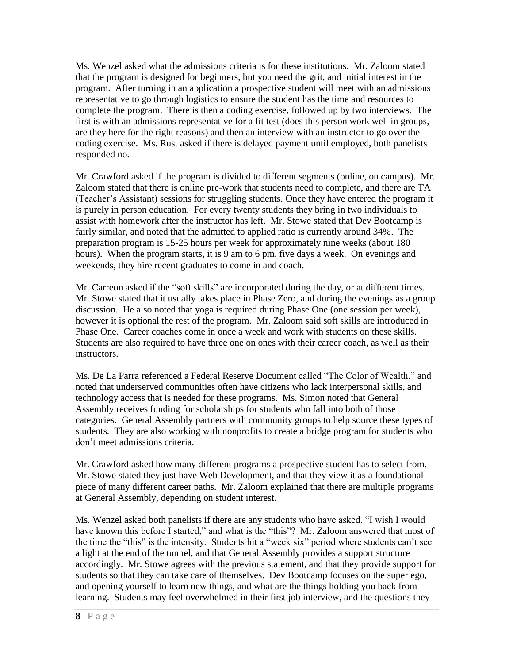Ms. Wenzel asked what the admissions criteria is for these institutions. Mr. Zaloom stated that the program is designed for beginners, but you need the grit, and initial interest in the program. After turning in an application a prospective student will meet with an admissions representative to go through logistics to ensure the student has the time and resources to complete the program. There is then a coding exercise, followed up by two interviews. The first is with an admissions representative for a fit test (does this person work well in groups, are they here for the right reasons) and then an interview with an instructor to go over the coding exercise. Ms. Rust asked if there is delayed payment until employed, both panelists responded no.

Mr. Crawford asked if the program is divided to different segments (online, on campus). Mr. Zaloom stated that there is online pre-work that students need to complete, and there are TA (Teacher's Assistant) sessions for struggling students. Once they have entered the program it is purely in person education. For every twenty students they bring in two individuals to assist with homework after the instructor has left. Mr. Stowe stated that Dev Bootcamp is fairly similar, and noted that the admitted to applied ratio is currently around 34%. The preparation program is 15-25 hours per week for approximately nine weeks (about 180 hours). When the program starts, it is 9 am to 6 pm, five days a week. On evenings and weekends, they hire recent graduates to come in and coach.

Mr. Carreon asked if the "soft skills" are incorporated during the day, or at different times. Mr. Stowe stated that it usually takes place in Phase Zero, and during the evenings as a group discussion. He also noted that yoga is required during Phase One (one session per week), however it is optional the rest of the program. Mr. Zaloom said soft skills are introduced in Phase One. Career coaches come in once a week and work with students on these skills. Students are also required to have three one on ones with their career coach, as well as their instructors.

Ms. De La Parra referenced a Federal Reserve Document called "The Color of Wealth," and noted that underserved communities often have citizens who lack interpersonal skills, and technology access that is needed for these programs. Ms. Simon noted that General Assembly receives funding for scholarships for students who fall into both of those categories. General Assembly partners with community groups to help source these types of students. They are also working with nonprofits to create a bridge program for students who don't meet admissions criteria.

Mr. Crawford asked how many different programs a prospective student has to select from. Mr. Stowe stated they just have Web Development, and that they view it as a foundational piece of many different career paths. Mr. Zaloom explained that there are multiple programs at General Assembly, depending on student interest.

Ms. Wenzel asked both panelists if there are any students who have asked, "I wish I would have known this before I started," and what is the "this"? Mr. Zaloom answered that most of the time the "this" is the intensity. Students hit a "week six" period where students can't see a light at the end of the tunnel, and that General Assembly provides a support structure accordingly. Mr. Stowe agrees with the previous statement, and that they provide support for students so that they can take care of themselves. Dev Bootcamp focuses on the super ego, and opening yourself to learn new things, and what are the things holding you back from learning. Students may feel overwhelmed in their first job interview, and the questions they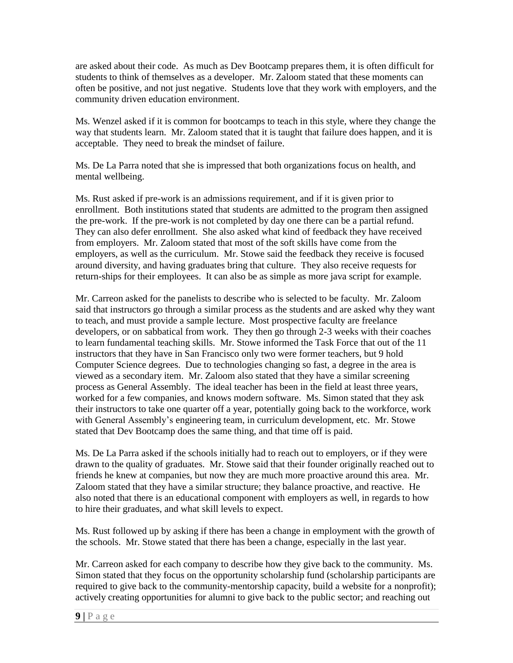are asked about their code. As much as Dev Bootcamp prepares them, it is often difficult for students to think of themselves as a developer. Mr. Zaloom stated that these moments can often be positive, and not just negative. Students love that they work with employers, and the community driven education environment.

Ms. Wenzel asked if it is common for bootcamps to teach in this style, where they change the way that students learn. Mr. Zaloom stated that it is taught that failure does happen, and it is acceptable. They need to break the mindset of failure.

Ms. De La Parra noted that she is impressed that both organizations focus on health, and mental wellbeing.

Ms. Rust asked if pre-work is an admissions requirement, and if it is given prior to enrollment. Both institutions stated that students are admitted to the program then assigned the pre-work. If the pre-work is not completed by day one there can be a partial refund. They can also defer enrollment. She also asked what kind of feedback they have received from employers. Mr. Zaloom stated that most of the soft skills have come from the employers, as well as the curriculum. Mr. Stowe said the feedback they receive is focused around diversity, and having graduates bring that culture. They also receive requests for return-ships for their employees. It can also be as simple as more java script for example.

Mr. Carreon asked for the panelists to describe who is selected to be faculty. Mr. Zaloom said that instructors go through a similar process as the students and are asked why they want to teach, and must provide a sample lecture. Most prospective faculty are freelance developers, or on sabbatical from work. They then go through 2-3 weeks with their coaches to learn fundamental teaching skills. Mr. Stowe informed the Task Force that out of the 11 instructors that they have in San Francisco only two were former teachers, but 9 hold Computer Science degrees. Due to technologies changing so fast, a degree in the area is viewed as a secondary item. Mr. Zaloom also stated that they have a similar screening process as General Assembly. The ideal teacher has been in the field at least three years, worked for a few companies, and knows modern software. Ms. Simon stated that they ask their instructors to take one quarter off a year, potentially going back to the workforce, work with General Assembly's engineering team, in curriculum development, etc. Mr. Stowe stated that Dev Bootcamp does the same thing, and that time off is paid.

Ms. De La Parra asked if the schools initially had to reach out to employers, or if they were drawn to the quality of graduates. Mr. Stowe said that their founder originally reached out to friends he knew at companies, but now they are much more proactive around this area. Mr. Zaloom stated that they have a similar structure; they balance proactive, and reactive. He also noted that there is an educational component with employers as well, in regards to how to hire their graduates, and what skill levels to expect.

Ms. Rust followed up by asking if there has been a change in employment with the growth of the schools. Mr. Stowe stated that there has been a change, especially in the last year.

Mr. Carreon asked for each company to describe how they give back to the community. Ms. Simon stated that they focus on the opportunity scholarship fund (scholarship participants are required to give back to the community-mentorship capacity, build a website for a nonprofit); actively creating opportunities for alumni to give back to the public sector; and reaching out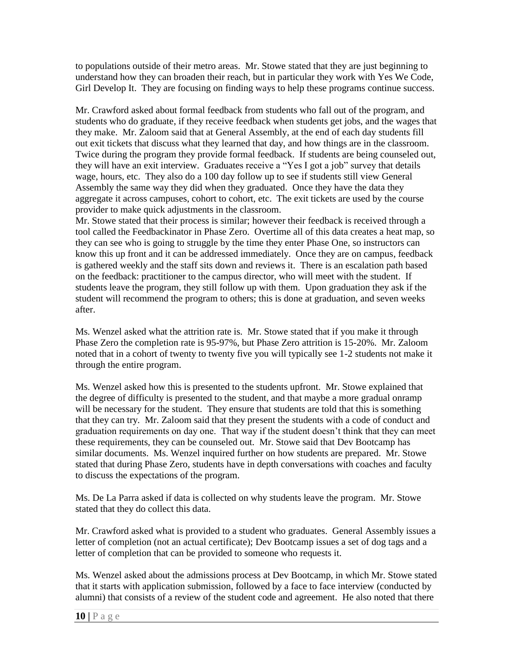to populations outside of their metro areas. Mr. Stowe stated that they are just beginning to understand how they can broaden their reach, but in particular they work with Yes We Code, Girl Develop It. They are focusing on finding ways to help these programs continue success.

Mr. Crawford asked about formal feedback from students who fall out of the program, and students who do graduate, if they receive feedback when students get jobs, and the wages that they make. Mr. Zaloom said that at General Assembly, at the end of each day students fill out exit tickets that discuss what they learned that day, and how things are in the classroom. Twice during the program they provide formal feedback. If students are being counseled out, they will have an exit interview. Graduates receive a "Yes I got a job" survey that details wage, hours, etc. They also do a 100 day follow up to see if students still view General Assembly the same way they did when they graduated. Once they have the data they aggregate it across campuses, cohort to cohort, etc. The exit tickets are used by the course provider to make quick adjustments in the classroom.

Mr. Stowe stated that their process is similar; however their feedback is received through a tool called the Feedbackinator in Phase Zero. Overtime all of this data creates a heat map, so they can see who is going to struggle by the time they enter Phase One, so instructors can know this up front and it can be addressed immediately. Once they are on campus, feedback is gathered weekly and the staff sits down and reviews it. There is an escalation path based on the feedback: practitioner to the campus director, who will meet with the student. If students leave the program, they still follow up with them. Upon graduation they ask if the student will recommend the program to others; this is done at graduation, and seven weeks after.

Ms. Wenzel asked what the attrition rate is. Mr. Stowe stated that if you make it through Phase Zero the completion rate is 95-97%, but Phase Zero attrition is 15-20%. Mr. Zaloom noted that in a cohort of twenty to twenty five you will typically see 1-2 students not make it through the entire program.

Ms. Wenzel asked how this is presented to the students upfront. Mr. Stowe explained that the degree of difficulty is presented to the student, and that maybe a more gradual onramp will be necessary for the student. They ensure that students are told that this is something that they can try. Mr. Zaloom said that they present the students with a code of conduct and graduation requirements on day one. That way if the student doesn't think that they can meet these requirements, they can be counseled out. Mr. Stowe said that Dev Bootcamp has similar documents. Ms. Wenzel inquired further on how students are prepared. Mr. Stowe stated that during Phase Zero, students have in depth conversations with coaches and faculty to discuss the expectations of the program.

Ms. De La Parra asked if data is collected on why students leave the program. Mr. Stowe stated that they do collect this data.

Mr. Crawford asked what is provided to a student who graduates. General Assembly issues a letter of completion (not an actual certificate); Dev Bootcamp issues a set of dog tags and a letter of completion that can be provided to someone who requests it.

Ms. Wenzel asked about the admissions process at Dev Bootcamp, in which Mr. Stowe stated that it starts with application submission, followed by a face to face interview (conducted by alumni) that consists of a review of the student code and agreement. He also noted that there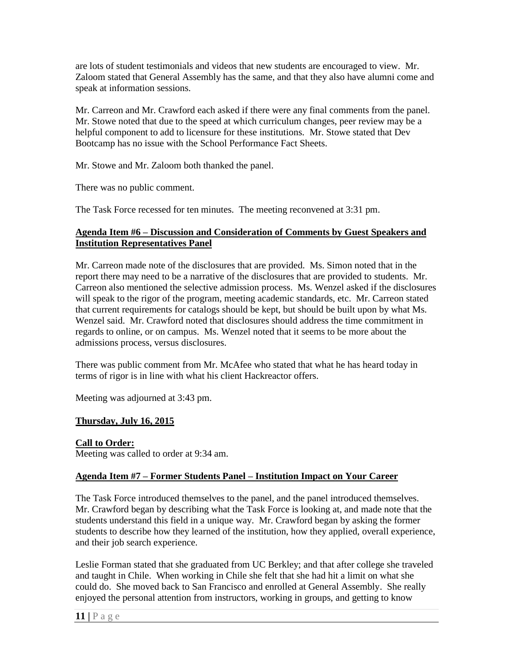are lots of student testimonials and videos that new students are encouraged to view. Mr. Zaloom stated that General Assembly has the same, and that they also have alumni come and speak at information sessions.

Mr. Carreon and Mr. Crawford each asked if there were any final comments from the panel. Mr. Stowe noted that due to the speed at which curriculum changes, peer review may be a helpful component to add to licensure for these institutions. Mr. Stowe stated that Dev Bootcamp has no issue with the School Performance Fact Sheets.

Mr. Stowe and Mr. Zaloom both thanked the panel.

There was no public comment.

The Task Force recessed for ten minutes. The meeting reconvened at 3:31 pm.

### **Agenda Item #6 – Discussion and Consideration of Comments by Guest Speakers and Institution Representatives Panel**

Mr. Carreon made note of the disclosures that are provided. Ms. Simon noted that in the report there may need to be a narrative of the disclosures that are provided to students. Mr. Carreon also mentioned the selective admission process. Ms. Wenzel asked if the disclosures will speak to the rigor of the program, meeting academic standards, etc. Mr. Carreon stated that current requirements for catalogs should be kept, but should be built upon by what Ms. Wenzel said. Mr. Crawford noted that disclosures should address the time commitment in regards to online, or on campus. Ms. Wenzel noted that it seems to be more about the admissions process, versus disclosures.

There was public comment from Mr. McAfee who stated that what he has heard today in terms of rigor is in line with what his client Hackreactor offers.

Meeting was adjourned at 3:43 pm.

# **Thursday, July 16, 2015**

### **Call to Order:**

Meeting was called to order at 9:34 am.

# **Agenda Item #7 – Former Students Panel – Institution Impact on Your Career**

The Task Force introduced themselves to the panel, and the panel introduced themselves. Mr. Crawford began by describing what the Task Force is looking at, and made note that the students understand this field in a unique way. Mr. Crawford began by asking the former students to describe how they learned of the institution, how they applied, overall experience, and their job search experience.

Leslie Forman stated that she graduated from UC Berkley; and that after college she traveled and taught in Chile. When working in Chile she felt that she had hit a limit on what she could do. She moved back to San Francisco and enrolled at General Assembly. She really enjoyed the personal attention from instructors, working in groups, and getting to know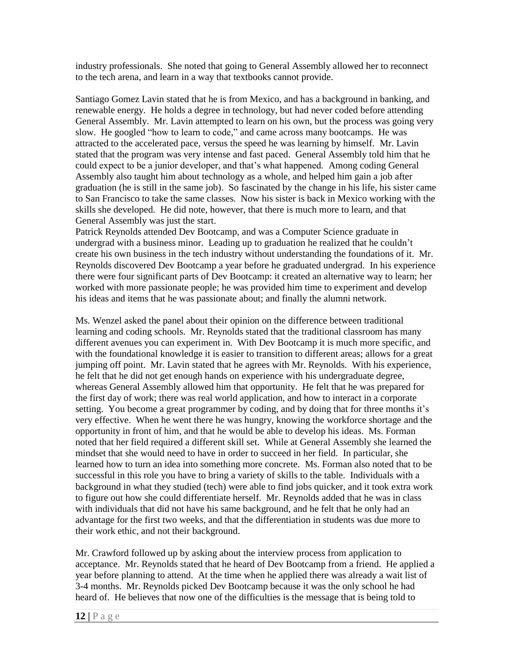industry professionals. She noted that going to General Assembly allowed her to reconnect to the tech arena, and learn in a way that textbooks cannot provide.

Santiago Gomez Lavin stated that he is from Mexico, and has a background in banking, and renewable energy. He holds a degree in technology, but had never coded before attending General Assembly. Mr. Lavin attempted to learn on his own, but the process was going very slow. He googled "how to learn to code," and came across many bootcamps. He was attracted to the accelerated pace, versus the speed he was learning by himself. Mr. Lavin stated that the program was very intense and fast paced. General Assembly told him that he could expect to be a junior developer, and that's what happened. Among coding General Assembly also taught him about technology as a whole, and helped him gain a job after graduation (he is still in the same job). So fascinated by the change in his life, his sister came to San Francisco to take the same classes. Now his sister is back in Mexico working with the skills she developed. He did note, however, that there is much more to learn, and that General Assembly was just the start.

Patrick Reynolds attended Dev Bootcamp, and was a Computer Science graduate in undergrad with a business minor. Leading up to graduation he realized that he couldn't create his own business in the tech industry without understanding the foundations of it. Mr. Reynolds discovered Dev Bootcamp a year before he graduated undergrad. In his experience there were four significant parts of Dev Bootcamp: it created an alternative way to learn; her worked with more passionate people; he was provided him time to experiment and develop his ideas and items that he was passionate about; and finally the alumni network.

Ms. Wenzel asked the panel about their opinion on the difference between traditional learning and coding schools. Mr. Reynolds stated that the traditional classroom has many different avenues you can experiment in. With Dev Bootcamp it is much more specific, and with the foundational knowledge it is easier to transition to different areas; allows for a great jumping off point. Mr. Lavin stated that he agrees with Mr. Reynolds. With his experience, he felt that he did not get enough hands on experience with his undergraduate degree, whereas General Assembly allowed him that opportunity. He felt that he was prepared for the first day of work; there was real world application, and how to interact in a corporate setting. You become a great programmer by coding, and by doing that for three months it's very effective. When he went there he was hungry, knowing the workforce shortage and the opportunity in front of him, and that he would be able to develop his ideas. Ms. Forman noted that her field required a different skill set. While at General Assembly she learned the mindset that she would need to have in order to succeed in her field. In particular, she learned how to turn an idea into something more concrete. Ms. Forman also noted that to be successful in this role you have to bring a variety of skills to the table. Individuals with a background in what they studied (tech) were able to find jobs quicker, and it took extra work to figure out how she could differentiate herself. Mr. Reynolds added that he was in class with individuals that did not have his same background, and he felt that he only had an advantage for the first two weeks, and that the differentiation in students was due more to their work ethic, and not their background.

Mr. Crawford followed up by asking about the interview process from application to acceptance. Mr. Reynolds stated that he heard of Dev Bootcamp from a friend. He applied a year before planning to attend. At the time when he applied there was already a wait list of 3-4 months. Mr. Reynolds picked Dev Bootcamp because it was the only school he had heard of. He believes that now one of the difficulties is the message that is being told to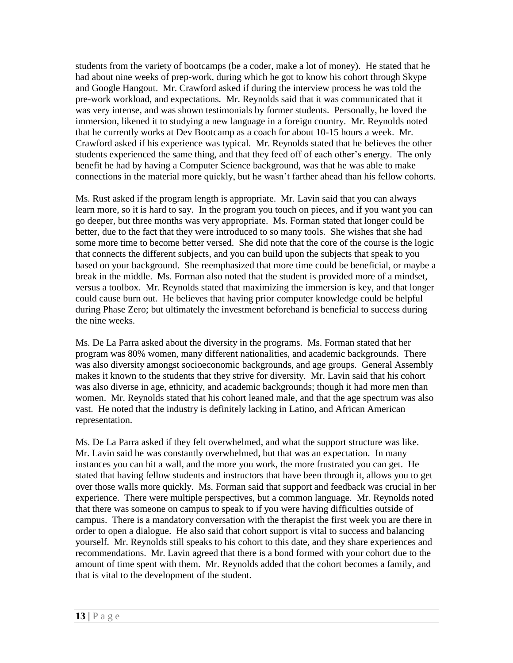students from the variety of bootcamps (be a coder, make a lot of money). He stated that he had about nine weeks of prep-work, during which he got to know his cohort through Skype and Google Hangout. Mr. Crawford asked if during the interview process he was told the pre-work workload, and expectations. Mr. Reynolds said that it was communicated that it was very intense, and was shown testimonials by former students. Personally, he loved the immersion, likened it to studying a new language in a foreign country. Mr. Reynolds noted that he currently works at Dev Bootcamp as a coach for about 10-15 hours a week. Mr. Crawford asked if his experience was typical. Mr. Reynolds stated that he believes the other students experienced the same thing, and that they feed off of each other's energy. The only benefit he had by having a Computer Science background, was that he was able to make connections in the material more quickly, but he wasn't farther ahead than his fellow cohorts.

Ms. Rust asked if the program length is appropriate. Mr. Lavin said that you can always learn more, so it is hard to say. In the program you touch on pieces, and if you want you can go deeper, but three months was very appropriate. Ms. Forman stated that longer could be better, due to the fact that they were introduced to so many tools. She wishes that she had some more time to become better versed. She did note that the core of the course is the logic that connects the different subjects, and you can build upon the subjects that speak to you based on your background. She reemphasized that more time could be beneficial, or maybe a break in the middle. Ms. Forman also noted that the student is provided more of a mindset, versus a toolbox. Mr. Reynolds stated that maximizing the immersion is key, and that longer could cause burn out. He believes that having prior computer knowledge could be helpful during Phase Zero; but ultimately the investment beforehand is beneficial to success during the nine weeks.

Ms. De La Parra asked about the diversity in the programs. Ms. Forman stated that her program was 80% women, many different nationalities, and academic backgrounds. There was also diversity amongst socioeconomic backgrounds, and age groups. General Assembly makes it known to the students that they strive for diversity. Mr. Lavin said that his cohort was also diverse in age, ethnicity, and academic backgrounds; though it had more men than women. Mr. Reynolds stated that his cohort leaned male, and that the age spectrum was also vast. He noted that the industry is definitely lacking in Latino, and African American representation.

Ms. De La Parra asked if they felt overwhelmed, and what the support structure was like. Mr. Lavin said he was constantly overwhelmed, but that was an expectation. In many instances you can hit a wall, and the more you work, the more frustrated you can get. He stated that having fellow students and instructors that have been through it, allows you to get over those walls more quickly. Ms. Forman said that support and feedback was crucial in her experience. There were multiple perspectives, but a common language. Mr. Reynolds noted that there was someone on campus to speak to if you were having difficulties outside of campus. There is a mandatory conversation with the therapist the first week you are there in order to open a dialogue. He also said that cohort support is vital to success and balancing yourself. Mr. Reynolds still speaks to his cohort to this date, and they share experiences and recommendations. Mr. Lavin agreed that there is a bond formed with your cohort due to the amount of time spent with them. Mr. Reynolds added that the cohort becomes a family, and that is vital to the development of the student.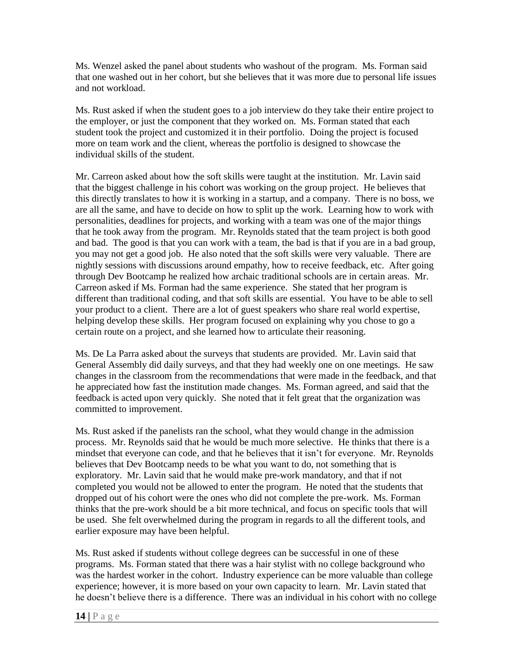Ms. Wenzel asked the panel about students who washout of the program. Ms. Forman said that one washed out in her cohort, but she believes that it was more due to personal life issues and not workload.

Ms. Rust asked if when the student goes to a job interview do they take their entire project to the employer, or just the component that they worked on. Ms. Forman stated that each student took the project and customized it in their portfolio. Doing the project is focused more on team work and the client, whereas the portfolio is designed to showcase the individual skills of the student.

Mr. Carreon asked about how the soft skills were taught at the institution. Mr. Lavin said that the biggest challenge in his cohort was working on the group project. He believes that this directly translates to how it is working in a startup, and a company. There is no boss, we are all the same, and have to decide on how to split up the work. Learning how to work with personalities, deadlines for projects, and working with a team was one of the major things that he took away from the program. Mr. Reynolds stated that the team project is both good and bad. The good is that you can work with a team, the bad is that if you are in a bad group, you may not get a good job. He also noted that the soft skills were very valuable. There are nightly sessions with discussions around empathy, how to receive feedback, etc. After going through Dev Bootcamp he realized how archaic traditional schools are in certain areas. Mr. Carreon asked if Ms. Forman had the same experience. She stated that her program is different than traditional coding, and that soft skills are essential. You have to be able to sell your product to a client. There are a lot of guest speakers who share real world expertise, helping develop these skills. Her program focused on explaining why you chose to go a certain route on a project, and she learned how to articulate their reasoning.

Ms. De La Parra asked about the surveys that students are provided. Mr. Lavin said that General Assembly did daily surveys, and that they had weekly one on one meetings. He saw changes in the classroom from the recommendations that were made in the feedback, and that he appreciated how fast the institution made changes. Ms. Forman agreed, and said that the feedback is acted upon very quickly. She noted that it felt great that the organization was committed to improvement.

Ms. Rust asked if the panelists ran the school, what they would change in the admission process. Mr. Reynolds said that he would be much more selective. He thinks that there is a mindset that everyone can code, and that he believes that it isn't for everyone. Mr. Reynolds believes that Dev Bootcamp needs to be what you want to do, not something that is exploratory. Mr. Lavin said that he would make pre-work mandatory, and that if not completed you would not be allowed to enter the program. He noted that the students that dropped out of his cohort were the ones who did not complete the pre-work. Ms. Forman thinks that the pre-work should be a bit more technical, and focus on specific tools that will be used. She felt overwhelmed during the program in regards to all the different tools, and earlier exposure may have been helpful.

Ms. Rust asked if students without college degrees can be successful in one of these programs. Ms. Forman stated that there was a hair stylist with no college background who was the hardest worker in the cohort. Industry experience can be more valuable than college experience; however, it is more based on your own capacity to learn. Mr. Lavin stated that he doesn't believe there is a difference. There was an individual in his cohort with no college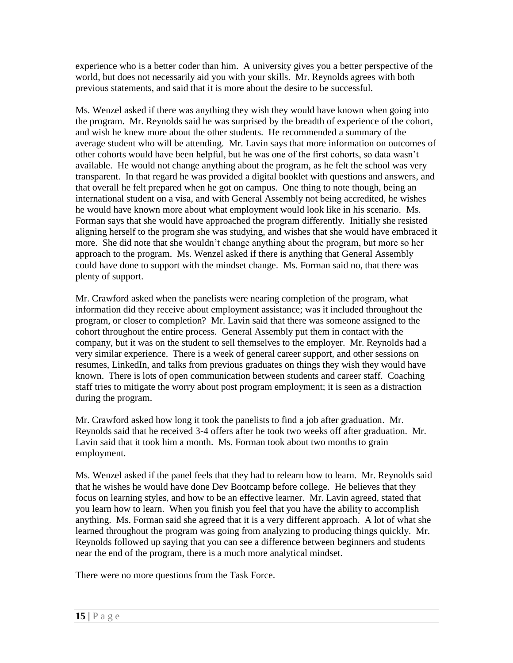experience who is a better coder than him. A university gives you a better perspective of the world, but does not necessarily aid you with your skills. Mr. Reynolds agrees with both previous statements, and said that it is more about the desire to be successful.

Ms. Wenzel asked if there was anything they wish they would have known when going into the program. Mr. Reynolds said he was surprised by the breadth of experience of the cohort, and wish he knew more about the other students. He recommended a summary of the average student who will be attending. Mr. Lavin says that more information on outcomes of other cohorts would have been helpful, but he was one of the first cohorts, so data wasn't available. He would not change anything about the program, as he felt the school was very transparent. In that regard he was provided a digital booklet with questions and answers, and that overall he felt prepared when he got on campus. One thing to note though, being an international student on a visa, and with General Assembly not being accredited, he wishes he would have known more about what employment would look like in his scenario. Ms. Forman says that she would have approached the program differently. Initially she resisted aligning herself to the program she was studying, and wishes that she would have embraced it more. She did note that she wouldn't change anything about the program, but more so her approach to the program. Ms. Wenzel asked if there is anything that General Assembly could have done to support with the mindset change. Ms. Forman said no, that there was plenty of support.

Mr. Crawford asked when the panelists were nearing completion of the program, what information did they receive about employment assistance; was it included throughout the program, or closer to completion? Mr. Lavin said that there was someone assigned to the cohort throughout the entire process. General Assembly put them in contact with the company, but it was on the student to sell themselves to the employer. Mr. Reynolds had a very similar experience. There is a week of general career support, and other sessions on resumes, LinkedIn, and talks from previous graduates on things they wish they would have known. There is lots of open communication between students and career staff. Coaching staff tries to mitigate the worry about post program employment; it is seen as a distraction during the program.

Mr. Crawford asked how long it took the panelists to find a job after graduation. Mr. Reynolds said that he received 3-4 offers after he took two weeks off after graduation. Mr. Lavin said that it took him a month. Ms. Forman took about two months to grain employment.

Ms. Wenzel asked if the panel feels that they had to relearn how to learn. Mr. Reynolds said that he wishes he would have done Dev Bootcamp before college. He believes that they focus on learning styles, and how to be an effective learner. Mr. Lavin agreed, stated that you learn how to learn. When you finish you feel that you have the ability to accomplish anything. Ms. Forman said she agreed that it is a very different approach. A lot of what she learned throughout the program was going from analyzing to producing things quickly. Mr. Reynolds followed up saying that you can see a difference between beginners and students near the end of the program, there is a much more analytical mindset.

There were no more questions from the Task Force.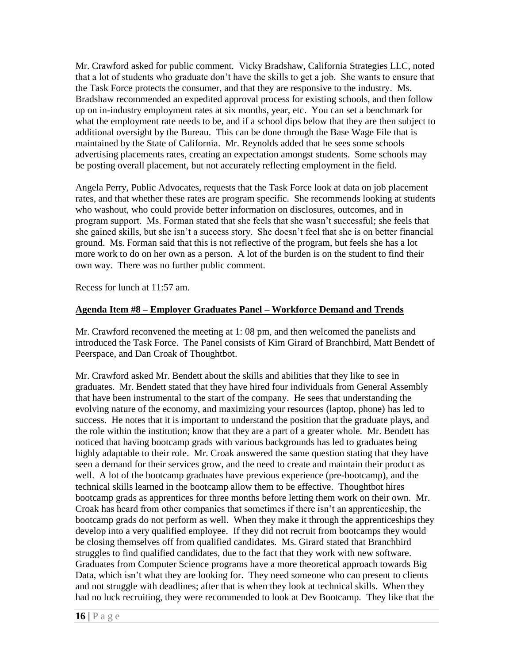Mr. Crawford asked for public comment. Vicky Bradshaw, California Strategies LLC, noted that a lot of students who graduate don't have the skills to get a job. She wants to ensure that the Task Force protects the consumer, and that they are responsive to the industry. Ms. Bradshaw recommended an expedited approval process for existing schools, and then follow up on in-industry employment rates at six months, year, etc. You can set a benchmark for what the employment rate needs to be, and if a school dips below that they are then subject to additional oversight by the Bureau. This can be done through the Base Wage File that is maintained by the State of California. Mr. Reynolds added that he sees some schools advertising placements rates, creating an expectation amongst students. Some schools may be posting overall placement, but not accurately reflecting employment in the field.

Angela Perry, Public Advocates, requests that the Task Force look at data on job placement rates, and that whether these rates are program specific. She recommends looking at students who washout, who could provide better information on disclosures, outcomes, and in program support. Ms. Forman stated that she feels that she wasn't successful; she feels that she gained skills, but she isn't a success story. She doesn't feel that she is on better financial ground. Ms. Forman said that this is not reflective of the program, but feels she has a lot more work to do on her own as a person. A lot of the burden is on the student to find their own way. There was no further public comment.

Recess for lunch at 11:57 am.

#### **Agenda Item #8 – Employer Graduates Panel – Workforce Demand and Trends**

Mr. Crawford reconvened the meeting at 1: 08 pm, and then welcomed the panelists and introduced the Task Force. The Panel consists of Kim Girard of Branchbird, Matt Bendett of Peerspace, and Dan Croak of Thoughtbot.

Mr. Crawford asked Mr. Bendett about the skills and abilities that they like to see in graduates. Mr. Bendett stated that they have hired four individuals from General Assembly that have been instrumental to the start of the company. He sees that understanding the evolving nature of the economy, and maximizing your resources (laptop, phone) has led to success. He notes that it is important to understand the position that the graduate plays, and the role within the institution; know that they are a part of a greater whole. Mr. Bendett has noticed that having bootcamp grads with various backgrounds has led to graduates being highly adaptable to their role. Mr. Croak answered the same question stating that they have seen a demand for their services grow, and the need to create and maintain their product as well. A lot of the bootcamp graduates have previous experience (pre-bootcamp), and the technical skills learned in the bootcamp allow them to be effective. Thoughtbot hires bootcamp grads as apprentices for three months before letting them work on their own. Mr. Croak has heard from other companies that sometimes if there isn't an apprenticeship, the bootcamp grads do not perform as well. When they make it through the apprenticeships they develop into a very qualified employee. If they did not recruit from bootcamps they would be closing themselves off from qualified candidates. Ms. Girard stated that Branchbird struggles to find qualified candidates, due to the fact that they work with new software. Graduates from Computer Science programs have a more theoretical approach towards Big Data, which isn't what they are looking for. They need someone who can present to clients and not struggle with deadlines; after that is when they look at technical skills. When they had no luck recruiting, they were recommended to look at Dev Bootcamp. They like that the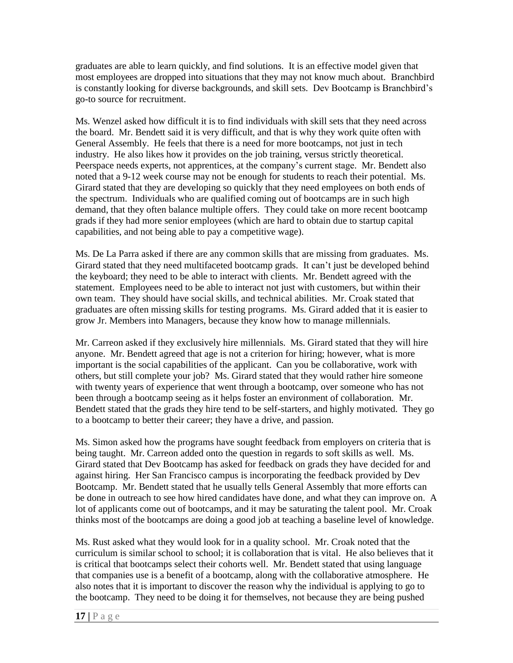graduates are able to learn quickly, and find solutions. It is an effective model given that most employees are dropped into situations that they may not know much about. Branchbird is constantly looking for diverse backgrounds, and skill sets. Dev Bootcamp is Branchbird's go-to source for recruitment.

Ms. Wenzel asked how difficult it is to find individuals with skill sets that they need across the board. Mr. Bendett said it is very difficult, and that is why they work quite often with General Assembly. He feels that there is a need for more bootcamps, not just in tech industry. He also likes how it provides on the job training, versus strictly theoretical. Peerspace needs experts, not apprentices, at the company's current stage. Mr. Bendett also noted that a 9-12 week course may not be enough for students to reach their potential. Ms. Girard stated that they are developing so quickly that they need employees on both ends of the spectrum. Individuals who are qualified coming out of bootcamps are in such high demand, that they often balance multiple offers. They could take on more recent bootcamp grads if they had more senior employees (which are hard to obtain due to startup capital capabilities, and not being able to pay a competitive wage).

Ms. De La Parra asked if there are any common skills that are missing from graduates. Ms. Girard stated that they need multifaceted bootcamp grads. It can't just be developed behind the keyboard; they need to be able to interact with clients. Mr. Bendett agreed with the statement. Employees need to be able to interact not just with customers, but within their own team. They should have social skills, and technical abilities. Mr. Croak stated that graduates are often missing skills for testing programs. Ms. Girard added that it is easier to grow Jr. Members into Managers, because they know how to manage millennials.

Mr. Carreon asked if they exclusively hire millennials. Ms. Girard stated that they will hire anyone. Mr. Bendett agreed that age is not a criterion for hiring; however, what is more important is the social capabilities of the applicant. Can you be collaborative, work with others, but still complete your job? Ms. Girard stated that they would rather hire someone with twenty years of experience that went through a bootcamp, over someone who has not been through a bootcamp seeing as it helps foster an environment of collaboration. Mr. Bendett stated that the grads they hire tend to be self-starters, and highly motivated. They go to a bootcamp to better their career; they have a drive, and passion.

Ms. Simon asked how the programs have sought feedback from employers on criteria that is being taught. Mr. Carreon added onto the question in regards to soft skills as well. Ms. Girard stated that Dev Bootcamp has asked for feedback on grads they have decided for and against hiring. Her San Francisco campus is incorporating the feedback provided by Dev Bootcamp. Mr. Bendett stated that he usually tells General Assembly that more efforts can be done in outreach to see how hired candidates have done, and what they can improve on. A lot of applicants come out of bootcamps, and it may be saturating the talent pool. Mr. Croak thinks most of the bootcamps are doing a good job at teaching a baseline level of knowledge.

Ms. Rust asked what they would look for in a quality school. Mr. Croak noted that the curriculum is similar school to school; it is collaboration that is vital. He also believes that it is critical that bootcamps select their cohorts well. Mr. Bendett stated that using language that companies use is a benefit of a bootcamp, along with the collaborative atmosphere. He also notes that it is important to discover the reason why the individual is applying to go to the bootcamp. They need to be doing it for themselves, not because they are being pushed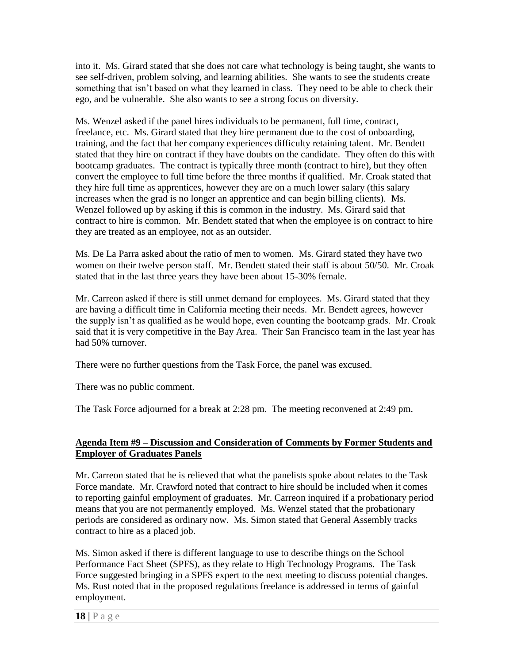into it. Ms. Girard stated that she does not care what technology is being taught, she wants to see self-driven, problem solving, and learning abilities. She wants to see the students create something that isn't based on what they learned in class. They need to be able to check their ego, and be vulnerable. She also wants to see a strong focus on diversity.

Ms. Wenzel asked if the panel hires individuals to be permanent, full time, contract, freelance, etc. Ms. Girard stated that they hire permanent due to the cost of onboarding, training, and the fact that her company experiences difficulty retaining talent. Mr. Bendett stated that they hire on contract if they have doubts on the candidate. They often do this with bootcamp graduates. The contract is typically three month (contract to hire), but they often convert the employee to full time before the three months if qualified. Mr. Croak stated that they hire full time as apprentices, however they are on a much lower salary (this salary increases when the grad is no longer an apprentice and can begin billing clients). Ms. Wenzel followed up by asking if this is common in the industry. Ms. Girard said that contract to hire is common. Mr. Bendett stated that when the employee is on contract to hire they are treated as an employee, not as an outsider.

Ms. De La Parra asked about the ratio of men to women. Ms. Girard stated they have two women on their twelve person staff. Mr. Bendett stated their staff is about 50/50. Mr. Croak stated that in the last three years they have been about 15-30% female.

Mr. Carreon asked if there is still unmet demand for employees. Ms. Girard stated that they are having a difficult time in California meeting their needs. Mr. Bendett agrees, however the supply isn't as qualified as he would hope, even counting the bootcamp grads. Mr. Croak said that it is very competitive in the Bay Area. Their San Francisco team in the last year has had 50% turnover.

There were no further questions from the Task Force, the panel was excused.

There was no public comment.

The Task Force adjourned for a break at 2:28 pm. The meeting reconvened at 2:49 pm.

### **Agenda Item #9 – Discussion and Consideration of Comments by Former Students and Employer of Graduates Panels**

Mr. Carreon stated that he is relieved that what the panelists spoke about relates to the Task Force mandate. Mr. Crawford noted that contract to hire should be included when it comes to reporting gainful employment of graduates. Mr. Carreon inquired if a probationary period means that you are not permanently employed. Ms. Wenzel stated that the probationary periods are considered as ordinary now. Ms. Simon stated that General Assembly tracks contract to hire as a placed job.

Ms. Simon asked if there is different language to use to describe things on the School Performance Fact Sheet (SPFS), as they relate to High Technology Programs. The Task Force suggested bringing in a SPFS expert to the next meeting to discuss potential changes. Ms. Rust noted that in the proposed regulations freelance is addressed in terms of gainful employment.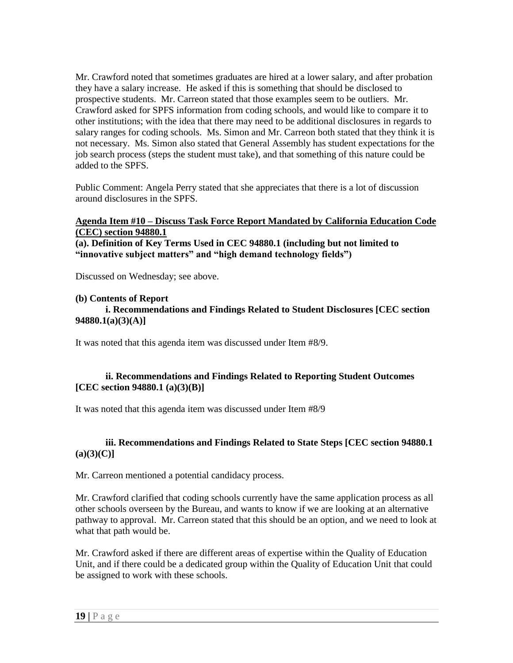Mr. Crawford noted that sometimes graduates are hired at a lower salary, and after probation they have a salary increase. He asked if this is something that should be disclosed to prospective students. Mr. Carreon stated that those examples seem to be outliers. Mr. Crawford asked for SPFS information from coding schools, and would like to compare it to other institutions; with the idea that there may need to be additional disclosures in regards to salary ranges for coding schools. Ms. Simon and Mr. Carreon both stated that they think it is not necessary. Ms. Simon also stated that General Assembly has student expectations for the job search process (steps the student must take), and that something of this nature could be added to the SPFS.

Public Comment: Angela Perry stated that she appreciates that there is a lot of discussion around disclosures in the SPFS.

### **Agenda Item #10 – Discuss Task Force Report Mandated by California Education Code (CEC) section 94880.1**

**(a). Definition of Key Terms Used in CEC 94880.1 (including but not limited to "innovative subject matters" and "high demand technology fields")**

Discussed on Wednesday; see above.

### **(b) Contents of Report**

### **i. Recommendations and Findings Related to Student Disclosures [CEC section 94880.1(a)(3)(A)]**

It was noted that this agenda item was discussed under Item #8/9.

### **ii. Recommendations and Findings Related to Reporting Student Outcomes [CEC section 94880.1 (a)(3)(B)]**

It was noted that this agenda item was discussed under Item #8/9

### **iii. Recommendations and Findings Related to State Steps [CEC section 94880.1 (a)(3)(C)]**

Mr. Carreon mentioned a potential candidacy process.

Mr. Crawford clarified that coding schools currently have the same application process as all other schools overseen by the Bureau, and wants to know if we are looking at an alternative pathway to approval. Mr. Carreon stated that this should be an option, and we need to look at what that path would be.

Mr. Crawford asked if there are different areas of expertise within the Quality of Education Unit, and if there could be a dedicated group within the Quality of Education Unit that could be assigned to work with these schools.